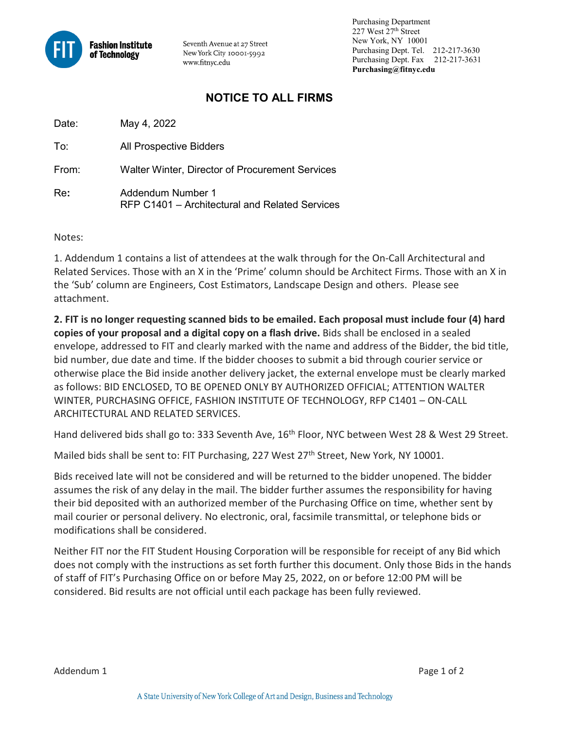

Seventh Avenue at 27 Street New York City 10001-5992 www.fitnyc.edu

 Purchasing Department 227 West 27th Street New York, NY 10001 Purchasing Dept. Tel. 212-217-3630 Purchasing Dept. Fax 212-217-3631 **Purchasing@fitnyc.edu**

## **NOTICE TO ALL FIRMS**

Date: May 4, 2022

To: All Prospective Bidders

From: Walter Winter, Director of Procurement Services

Re**:** Addendum Number 1 RFP C1401 – Architectural and Related Services

Notes:

1. Addendum 1 contains a list of attendees at the walk through for the On-Call Architectural and Related Services. Those with an X in the 'Prime' column should be Architect Firms. Those with an X in the 'Sub' column are Engineers, Cost Estimators, Landscape Design and others. Please see attachment.

**2. FIT is no longer requesting scanned bids to be emailed. Each proposal must include four (4) hard copies of your proposal and a digital copy on a flash drive.** Bids shall be enclosed in a sealed envelope, addressed to FIT and clearly marked with the name and address of the Bidder, the bid title, bid number, due date and time. If the bidder chooses to submit a bid through courier service or otherwise place the Bid inside another delivery jacket, the external envelope must be clearly marked as follows: BID ENCLOSED, TO BE OPENED ONLY BY AUTHORIZED OFFICIAL; ATTENTION WALTER WINTER, PURCHASING OFFICE, FASHION INSTITUTE OF TECHNOLOGY, RFP C1401 – ON-CALL ARCHITECTURAL AND RELATED SERVICES.

Hand delivered bids shall go to: 333 Seventh Ave, 16<sup>th</sup> Floor, NYC between West 28 & West 29 Street.

Mailed bids shall be sent to: FIT Purchasing, 227 West 27<sup>th</sup> Street, New York, NY 10001.

Bids received late will not be considered and will be returned to the bidder unopened. The bidder assumes the risk of any delay in the mail. The bidder further assumes the responsibility for having their bid deposited with an authorized member of the Purchasing Office on time, whether sent by mail courier or personal delivery. No electronic, oral, facsimile transmittal, or telephone bids or modifications shall be considered.

Neither FIT nor the FIT Student Housing Corporation will be responsible for receipt of any Bid which does not comply with the instructions as set forth further this document. Only those Bids in the hands of staff of FIT's Purchasing Office on or before May 25, 2022, on or before 12:00 PM will be considered. Bid results are not official until each package has been fully reviewed.

Addendum 1 Page 1 of 2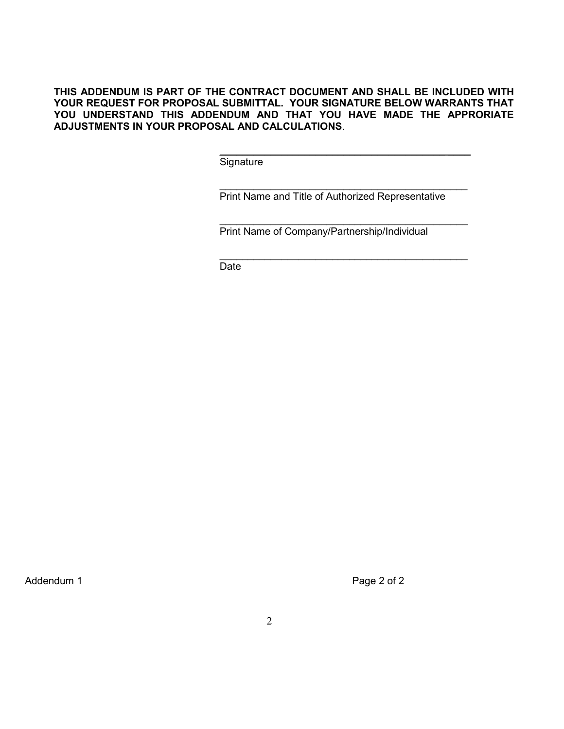## **THIS ADDENDUM IS PART OF THE CONTRACT DOCUMENT AND SHALL BE INCLUDED WITH YOUR REQUEST FOR PROPOSAL SUBMITTAL. YOUR SIGNATURE BELOW WARRANTS THAT YOU UNDERSTAND THIS ADDENDUM AND THAT YOU HAVE MADE THE APPRORIATE ADJUSTMENTS IN YOUR PROPOSAL AND CALCULATIONS**.

 $\overline{\phantom{a}}$  , and the contract of the contract of the contract of the contract of the contract of the contract of the contract of the contract of the contract of the contract of the contract of the contract of the contrac **Signature** 

 $\overline{\phantom{a}}$  , and the contract of the contract of the contract of the contract of the contract of the contract of the contract of the contract of the contract of the contract of the contract of the contract of the contrac

Print Name and Title of Authorized Representative

\_\_\_\_\_\_\_\_\_\_\_\_\_\_\_\_\_\_\_\_\_\_\_\_\_\_\_\_\_\_\_\_\_\_\_\_\_\_\_\_\_\_\_\_

\_\_\_\_\_\_\_\_\_\_\_\_\_\_\_\_\_\_\_\_\_\_\_\_\_\_\_\_\_\_\_\_\_\_\_\_\_\_\_\_\_\_\_\_

Print Name of Company/Partnership/Individual

de de la contrata de la contrata de la contrata de la contrata de la contrata de la contrata de la contrata de

Addendum 1 Page 2 of 2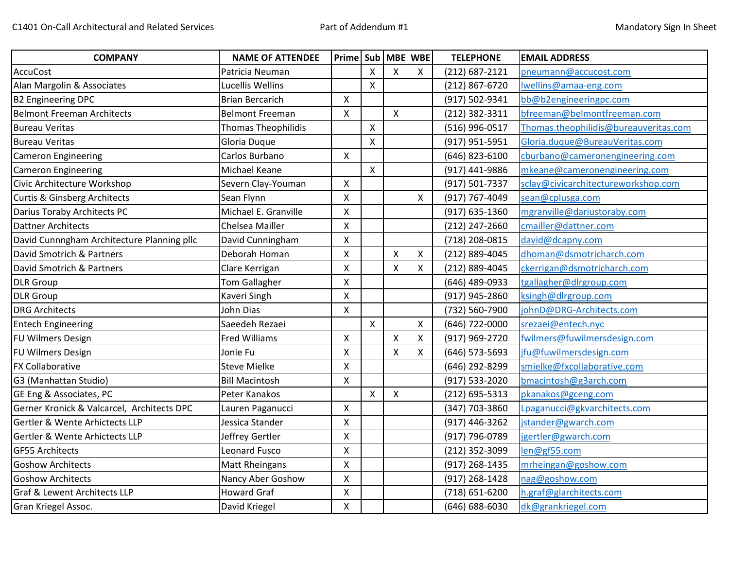| <b>COMPANY</b>                             | <b>NAME OF ATTENDEE</b>    | Prime   Sub   MBE   WBE |                           |                           |   | <b>TELEPHONE</b> | <b>EMAIL ADDRESS</b>                  |
|--------------------------------------------|----------------------------|-------------------------|---------------------------|---------------------------|---|------------------|---------------------------------------|
| <b>AccuCost</b>                            | Patricia Neuman            |                         | X                         | X                         | X | (212) 687-2121   | pneumann@accucost.com                 |
| Alan Margolin & Associates                 | Lucellis Wellins           |                         | $\pmb{\times}$            |                           |   | (212) 867-6720   | Iwellins@amaa-eng.com                 |
| <b>B2 Engineering DPC</b>                  | <b>Brian Bercarich</b>     | $\mathsf{X}$            |                           |                           |   | (917) 502-9341   | bb@b2engineeringpc.com                |
| <b>Belmont Freeman Architects</b>          | <b>Belmont Freeman</b>     | X                       |                           | $\mathsf{X}$              |   | (212) 382-3311   | bfreeman@belmontfreeman.com           |
| Bureau Veritas                             | <b>Thomas Theophilidis</b> |                         | X                         |                           |   | (516) 996-0517   | Thomas.theophilidis@bureauveritas.com |
| <b>Bureau Veritas</b>                      | Gloria Duque               |                         | $\mathsf{X}$              |                           |   | (917) 951-5951   | Gloria.duque@BureauVeritas.com        |
| <b>Cameron Engineering</b>                 | Carlos Burbano             | X                       |                           |                           |   | (646) 823-6100   | cburbano@cameronengineering.com       |
| <b>Cameron Engineering</b>                 | Michael Keane              |                         | X                         |                           |   | (917) 441-9886   | mkeane@cameronengineering.com         |
| Civic Architecture Workshop                | Severn Clay-Youman         | $\mathsf{x}$            |                           |                           |   | (917) 501-7337   | sclay@civicarchitectureworkshop.com   |
| <b>Curtis &amp; Ginsberg Architects</b>    | Sean Flynn                 | X                       |                           |                           | Χ | (917) 767-4049   | sean@cplusga.com                      |
| Darius Toraby Architects PC                | Michael E. Granville       | X                       |                           |                           |   | (917) 635-1360   | mgranville@dariustoraby.com           |
| <b>Dattner Architects</b>                  | Chelsea Mailler            | X                       |                           |                           |   | (212) 247-2660   | cmailler@dattner.com                  |
| David Cunnngham Architecture Planning pllc | David Cunningham           | X                       |                           |                           |   | (718) 208-0815   | david@dcapny.com                      |
| David Smotrich & Partners                  | Deborah Homan              | X                       |                           | $\pmb{\mathsf{X}}$        | Χ | (212) 889-4045   | dhoman@dsmotricharch.com              |
| David Smotrich & Partners                  | Clare Kerrigan             | X                       |                           | $\boldsymbol{\mathsf{X}}$ | X | (212) 889-4045   | ckerrigan@dsmotricharch.com           |
| <b>DLR Group</b>                           | <b>Tom Gallagher</b>       | X                       |                           |                           |   | (646) 489-0933   | tgallagher@dlrgroup.com               |
| <b>DLR Group</b>                           | Kaveri Singh               | X                       |                           |                           |   | (917) 945-2860   | ksingh@dlrgroup.com                   |
| <b>DRG Architects</b>                      | John Dias                  | X                       |                           |                           |   | (732) 560-7900   | johnD@DRG-Architects.com              |
| <b>Entech Engineering</b>                  | Saeedeh Rezaei             |                         | $\mathsf{X}$              |                           | X | (646) 722-0000   | srezaei@entech.nyc                    |
| <b>FU Wilmers Design</b>                   | <b>Fred Williams</b>       | X                       |                           | $\boldsymbol{\mathsf{X}}$ | X | (917) 969-2720   | fwilmers@fuwilmersdesign.com          |
| FU Wilmers Design                          | Jonie Fu                   | X                       |                           | $\mathsf{x}$              | Χ | (646) 573-5693   | jfu@fuwilmersdesign.com               |
| <b>FX Collaborative</b>                    | <b>Steve Mielke</b>        | X                       |                           |                           |   | (646) 292-8299   | smielke@fxcollaborative.com           |
| G3 (Manhattan Studio)                      | <b>Bill Macintosh</b>      | $\mathsf{X}$            |                           |                           |   | (917) 533-2020   | bmacintosh@g3arch.com                 |
| GE Eng & Associates, PC                    | Peter Kanakos              |                         | $\boldsymbol{\mathsf{X}}$ | $\boldsymbol{\mathsf{X}}$ |   | (212) 695-5313   | pkanakos@gceng.com                    |
| Gerner Kronick & Valcarcel, Architects DPC | Lauren Paganucci           | $\mathsf{x}$            |                           |                           |   | (347) 703-3860   | Lpaganucci@gkvarchitects.com          |
| Gertler & Wente Arhictects LLP             | Jessica Stander            | X                       |                           |                           |   | (917) 446-3262   | jstander@gwarch.com                   |
| Gertler & Wente Arhictects LLP             | Jeffrey Gertler            | X                       |                           |                           |   | (917) 796-0789   | jgertler@gwarch.com                   |
| <b>GF55 Architects</b>                     | <b>Leonard Fusco</b>       | X                       |                           |                           |   | (212) 352-3099   | len@gf55.com                          |
| <b>Goshow Architects</b>                   | <b>Matt Rheingans</b>      | X                       |                           |                           |   | (917) 268-1435   | mrheingan@goshow.com                  |
| <b>Goshow Architects</b>                   | Nancy Aber Goshow          | X                       |                           |                           |   | (917) 268-1428   | nag@goshow.com                        |
| Graf & Lewent Architects LLP               | <b>Howard Graf</b>         | X                       |                           |                           |   | (718) 651-6200   | h.graf@glarchitects.com               |
| Gran Kriegel Assoc.                        | David Kriegel              | X                       |                           |                           |   | (646) 688-6030   | dk@grankriegel.com                    |